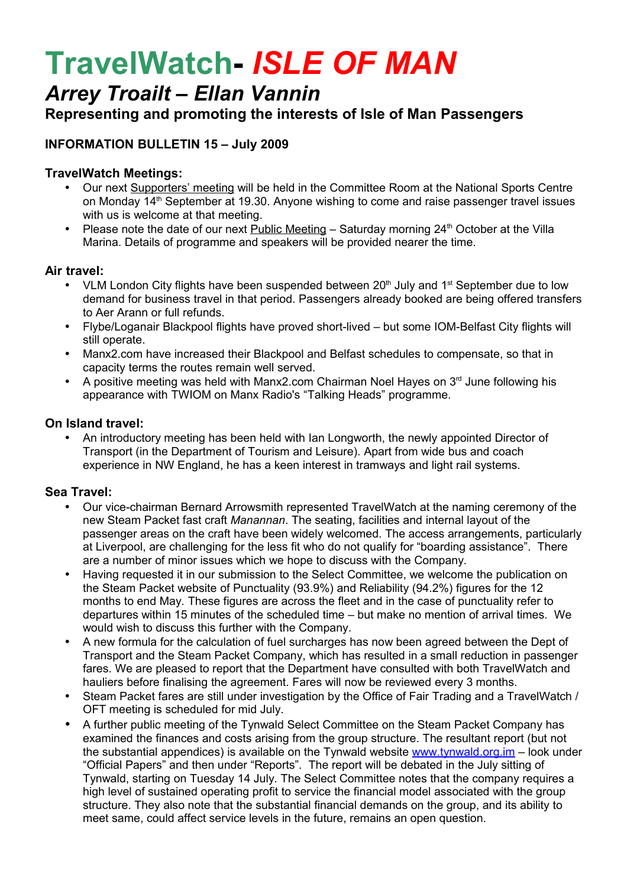# **TravelWatch-** *ISLE OF MAN*

# *Arrey Troailt – Ellan Vannin*

# **Representing and promoting the interests of Isle of Man Passengers**

# **INFORMATION BULLETIN 15 – July 2009**

### **TravelWatch Meetings:**

- Our next Supporters' meeting will be held in the Committee Room at the National Sports Centre on Monday 14<sup>th</sup> September at 19.30. Anyone wishing to come and raise passenger travel issues with us is welcome at that meeting.
- Please note the date of our next Public Meeting  $-$  Saturday morning 24<sup>th</sup> October at the Villa Marina. Details of programme and speakers will be provided nearer the time.

#### **Air travel:**

- VLM London City flights have been suspended between  $20<sup>th</sup>$  July and 1<sup>st</sup> September due to low demand for business travel in that period. Passengers already booked are being offered transfers to Aer Arann or full refunds.
- Flybe/Loganair Blackpool flights have proved short-lived but some IOM-Belfast City flights will still operate.
- Manx2.com have increased their Blackpool and Belfast schedules to compensate, so that in capacity terms the routes remain well served.
- A positive meeting was held with Manx2.com Chairman Noel Hayes on  $3<sup>rd</sup>$  June following his appearance with TWIOM on Manx Radio's "Talking Heads" programme.

#### **On Island travel:**

• An introductory meeting has been held with Ian Longworth, the newly appointed Director of Transport (in the Department of Tourism and Leisure). Apart from wide bus and coach experience in NW England, he has a keen interest in tramways and light rail systems.

#### **Sea Travel:**

- Our vice-chairman Bernard Arrowsmith represented TravelWatch at the naming ceremony of the new Steam Packet fast craft *Manannan*. The seating, facilities and internal layout of the passenger areas on the craft have been widely welcomed. The access arrangements, particularly at Liverpool, are challenging for the less fit who do not qualify for "boarding assistance". There are a number of minor issues which we hope to discuss with the Company.
- Having requested it in our submission to the Select Committee, we welcome the publication on the Steam Packet website of Punctuality (93.9%) and Reliability (94.2%) figures for the 12 months to end May. These figures are across the fleet and in the case of punctuality refer to departures within 15 minutes of the scheduled time – but make no mention of arrival times. We would wish to discuss this further with the Company.
- A new formula for the calculation of fuel surcharges has now been agreed between the Dept of Transport and the Steam Packet Company, which has resulted in a small reduction in passenger fares. We are pleased to report that the Department have consulted with both TravelWatch and hauliers before finalising the agreement. Fares will now be reviewed every 3 months.
- Steam Packet fares are still under investigation by the Office of Fair Trading and a TravelWatch / OFT meeting is scheduled for mid July.
- A further public meeting of the Tynwald Select Committee on the Steam Packet Company has examined the finances and costs arising from the group structure. The resultant report (but not the substantial appendices) is available on the Tynwald website  $www.tynwald.org.in - look under$ "Official Papers" and then under "Reports". The report will be debated in the July sitting of Tynwald, starting on Tuesday 14 July. The Select Committee notes that the company requires a high level of sustained operating profit to service the financial model associated with the group structure. They also note that the substantial financial demands on the group, and its ability to meet same, could affect service levels in the future, remains an open question.